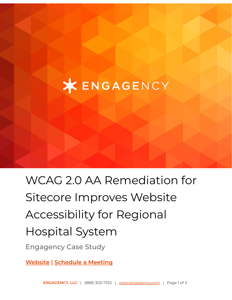## **XENGAGENCY**

# WCAG 2.0 AA Remediation for Sitecore Improves Website Accessibility for Regional Hospital System

Engagency Case Study

**[Website](https://www.engagency.com/) | Schedule a Meeting**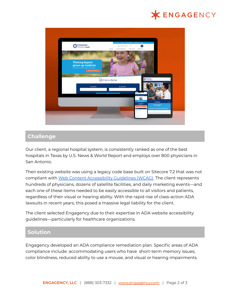### **X ENGAGENCY**



#### **Challenge**

Our client, a regional hospital system, is consistently ranked as one of the best hospitals in Texas by U.S. News & World Report and employs over 800 physicians in San Antonio.

Their existing website was using a legacy code base built on Sitecore 7.2 that was not compliant with Web Content [Accessibility](https://www.w3.org/WAI/standards-guidelines/wcag/) Guidelines (WCAG). The client represents hundreds of physicians, dozens of satellite facilities, and daily marketing events—and each one of these items needed to be easily accessible to all visitors and patients, regardless of their visual or hearing ability. With the rapid rise of class-action ADA lawsuits in recent years, this posed a massive legal liability for the client.

The client selected Engagency due to their expertise in ADA website accessibility guidelines—particularly for healthcare organizations.

#### **Solution**

Engagency developed an ADA compliance remediation plan. Specific areas of ADA compliance include: accommodating users who have short-term memory issues, color blindness, reduced ability to use a mouse, and visual or hearing impairments.